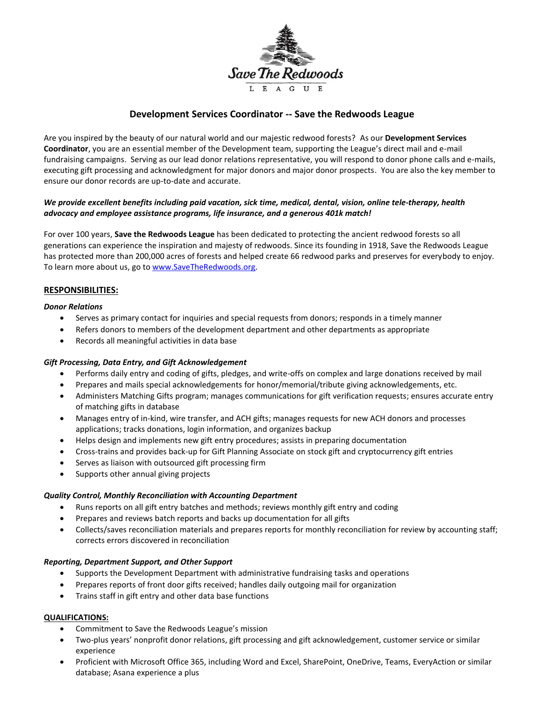

# **Development Services Coordinator -- Save the Redwoods League**

Are you inspired by the beauty of our natural world and our majestic redwood forests? As our **Development Services Coordinator**, you are an essential member of the Development team, supporting the League's direct mail and e-mail fundraising campaigns. Serving as our lead donor relations representative, you will respond to donor phone calls and e-mails, executing gift processing and acknowledgment for major donors and major donor prospects. You are also the key member to ensure our donor records are up-to-date and accurate.

## *We provide excellent benefits including paid vacation, sick time, medical, dental, vision, online tele-therapy, health advocacy and employee assistance programs, life insurance, and a generous 401k match!*

For over 100 years, **Save the Redwoods League** has been dedicated to protecting the ancient redwood forests so all generations can experience the inspiration and majesty of redwoods. Since its founding in 1918, Save the Redwoods League has protected more than 200,000 acres of forests and helped create 66 redwood parks and preserves for everybody to enjoy. To learn more about us, go to [www.SaveTheRedwoods.org.](http://www.savetheredwoods.org/)

#### **RESPONSIBILITIES:**

#### *Donor Relations*

- Serves as primary contact for inquiries and special requests from donors; responds in a timely manner
- Refers donors to members of the development department and other departments as appropriate
- Records all meaningful activities in data base

#### *Gift Processing, Data Entry, and Gift Acknowledgement*

- Performs daily entry and coding of gifts, pledges, and write-offs on complex and large donations received by mail
- Prepares and mails special acknowledgements for honor/memorial/tribute giving acknowledgements, etc.
- Administers Matching Gifts program; manages communications for gift verification requests; ensures accurate entry of matching gifts in database
- Manages entry of in-kind, wire transfer, and ACH gifts; manages requests for new ACH donors and processes applications; tracks donations, login information, and organizes backup
- Helps design and implements new gift entry procedures; assists in preparing documentation
- Cross-trains and provides back-up for Gift Planning Associate on stock gift and cryptocurrency gift entries
- Serves as liaison with outsourced gift processing firm
- Supports other annual giving projects

#### *Quality Control, Monthly Reconciliation with Accounting Department*

- Runs reports on all gift entry batches and methods; reviews monthly gift entry and coding
- Prepares and reviews batch reports and backs up documentation for all gifts
- Collects/saves reconciliation materials and prepares reports for monthly reconciliation for review by accounting staff; corrects errors discovered in reconciliation

#### *Reporting, Department Support, and Other Support*

- Supports the Development Department with administrative fundraising tasks and operations
- Prepares reports of front door gifts received; handles daily outgoing mail for organization
- Trains staff in gift entry and other data base functions

## **QUALIFICATIONS:**

- Commitment to Save the Redwoods League's mission
- Two-plus years' nonprofit donor relations, gift processing and gift acknowledgement, customer service or similar experience
- Proficient with Microsoft Office 365, including Word and Excel, SharePoint, OneDrive, Teams, EveryAction or similar database; Asana experience a plus